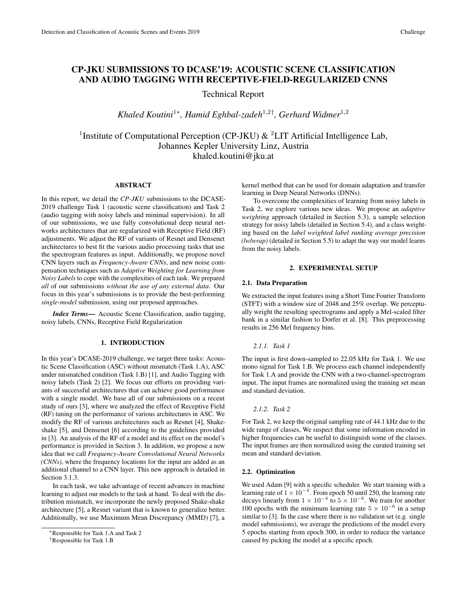# CP-JKU SUBMISSIONS TO DCASE'19: ACOUSTIC SCENE CLASSIFICATION AND AUDIO TAGGING WITH RECEPTIVE-FIELD-REGULARIZED CNNS

Technical Report

*Khaled Koutini*<sup>1</sup><sup>∗</sup> *, Hamid Eghbal-zadeh*<sup>1</sup>,2† *, Gerhard Widmer*<sup>1</sup>,<sup>2</sup>

<sup>1</sup> Institute of Computational Perception (CP-JKU)  $\&$  <sup>2</sup>LIT Artificial Intelligence Lab, Johannes Kepler University Linz, Austria khaled.koutini@jku.at

# ABSTRACT

In this report, we detail the *CP-JKU* submissions to the DCASE-2019 challenge Task 1 (acoustic scene classification) and Task 2 (audio tagging with noisy labels and minimal supervision). In all of our submissions, we use fully convolutional deep neural networks architectures that are regularized with Receptive Field (RF) adjustments. We adjust the RF of variants of Resnet and Densenet architectures to best fit the various audio processing tasks that use the spectrogram features as input. Additionally, we propose novel CNN layers such as *Frequency-Aware CNNs*, and new noise compensation techniques such as *Adaptive Weighting for Learning from Noisy Labels* to cope with the complexities of each task. We prepared *all* of our submissions *without the use of any external data*. Our focus in this year's submissions is to provide the best-performing *single-model* submission, using our proposed approaches.

*Index Terms*— Acoustic Scene Classification, audio tagging, noisy labels, CNNs, Receptive Field Regularization

## 1. INTRODUCTION

In this year's DCASE-2019 challenge, we target three tasks: Acoustic Scene Classification (ASC) without mismatch (Task 1.A), ASC under mismatched condition (Task 1.B) [1], and Audio Tagging with noisy labels (Task 2) [2]. We focus our efforts on providing variants of successful architectures that can achieve good performance with a single model. We base all of our submissions on a recent study of ours [3], where we analyzed the effect of Receptive Field (RF) tuning on the performance of various architectures in ASC. We modify the RF of various architectures such as Resnet [4], Shakeshake [5], and Densenet [6] according to the guidelines provided in [3]. An analysis of the RF of a model and its effect on the model's performance is provided in Section 3. In addition, we propose a new idea that we call *Frequency-Aware Convolutional Neural Networks (CNNs)*, where the frequency locations for the input are added as an additional channel to a CNN layer. This new approach is detailed in Section 3.1.3.

In each task, we take advantage of recent advances in machine learning to adjust our models to the task at hand. To deal with the distribution mismatch, we incorporate the newly proposed Shake-shake architecture [5], a Resnet variant that is known to generalize better. Additionally, we use Maximum Mean Discrepancy (MMD) [7], a

kernel method that can be used for domain adaptation and transfer learning in Deep Neural Networks (DNNs).

To overcome the complexities of learning from noisy labels in Task 2, we explore various new ideas. We propose an *adaptive weighting* approach (detailed in Section 5.3), a sample selection strategy for noisy labels (detailed in Section 5.4), and a class weighting based on the *label weighted label ranking average precision (lwlwrap)* (detailed in Section 5.5) to adapt the way our model learns from the noisy labels.

# 2. EXPERIMENTAL SETUP

### 2.1. Data Preparation

We extracted the input features using a Short Time Fourier Transform (STFT) with a window size of 2048 and 25% overlap. We perceptually weight the resulting spectrograms and apply a Mel-scaled filter bank in a similar fashion to Dorfer et al. [8]. This preprocessing results in 256 Mel frequency bins.

### *2.1.1. Task 1*

The input is first down-sampled to 22.05 kHz for Task 1. We use mono signal for Task 1.B. We process each channel independently for Task 1.A and provide the CNN with a two-channel-spectrogram input. The input frames are normalized using the training set mean and standard deviation.

## *2.1.2. Task 2*

For Task 2, we keep the original sampling rate of 44.1 kHz due to the wide range of classes, We suspect that some information encoded in higher frequencies can be useful to distinguish some of the classes. The input frames are then normalized using the curated training set mean and standard deviation.

### 2.2. Optimization

We used Adam [9] with a specific scheduler. We start training with a learning rate of  $1 \times 10^{-4}$ . From epoch 50 until 250, the learning rate decays linearly from  $1 \times 10^{-4}$  to  $5 \times 10^{-6}$ . We train for another 100 epochs with the minimum learning rate  $5 \times 10^{-6}$  in a setup similar to [3]. In the case where there is no validation set (e.g. single model submissions), we average the predictions of the model every 5 epochs starting from epoch 300, in order to reduce the variance caused by picking the model at a specific epoch.

<sup>∗</sup>Responsible for Task 1.A and Task 2

<sup>†</sup>Responsible for Task 1.B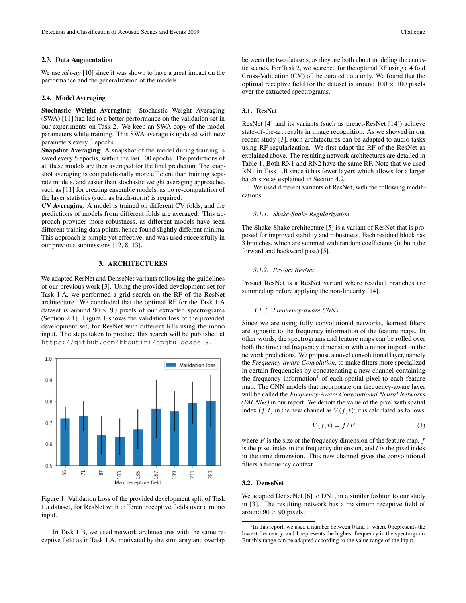#### 2.3. Data Augmentation

We use *mix-up* [10] since it was shown to have a great impact on the performance and the generalization of the models.

### 2.4. Model Averaging

Stochastic Weight Averaging: Stochastic Weight Averaging (SWA) [11] had led to a better performance on the validation set in our experiments on Task 2. We keep an SWA copy of the model parameters while training. This SWA average is updated with new parameters every 3 epochs.

Snapshot Averaging: A snapshot of the model during training is saved every 5 epochs, within the last 100 epochs. The predictions of all these models are then averaged for the final prediction. The snapshot averaging is computationally more efficient than training separate models, and easier than stochastic weight averaging approaches such as [11] for creating ensemble models, as no re-computation of the layer statistics (such as batch-norm) is required.

CV Averaging: A model is trained on different CV folds, and the predictions of models from different folds are averaged. This approach provides more robustness, as different models have seen different training data points, hence found slightly different minima. This approach is simple yet effective, and was used successfully in our previous submissions [12, 8, 13].

# 3. ARCHITECTURES

We adapted ResNet and DenseNet variants following the guidelines of our previous work [3]. Using the provided development set for Task 1.A, we performed a grid search on the RF of the ResNet architecture. We concluded that the optimal RF for the Task 1.A dataset is around  $90 \times 90$  pixels of our extracted spectrograms (Section 2.1). Figure 1 shows the validation loss of the provided development set, for ResNet with different RFs using the mono input. The steps taken to produce this search will be published at https://github.com/kkoutini/cpjku\_dcase19.



Figure 1: Validation Loss of the provided development split of Task 1 a dataset, for ResNet with different receptive fields over a mono input.

In Task 1.B, we used network architectures with the same receptive field as in Task 1.A, motivated by the similarity and overlap

between the two datasets, as they are both about modeling the acoustic scenes. For Task 2, we searched for the optimal RF using a 4 fold Cross-Validation (CV) of the curated data only. We found that the optimal receptive field for the dataset is around  $100 \times 100$  pixels over the extracted spectrograms.

### 3.1. ResNet

ResNet [4] and its variants (such as preact-ResNet [14]) achieve state-of-the-art results in image recognition. As we showed in our recent study [3], such architectures can be adapted to audio tasks using RF regularization. We first adapt the RF of the ResNet as explained above. The resulting network architectures are detailed in Table 1. Both RN1 and RN2 have the same RF. Note that we used RN1 in Task 1.B since it has fewer layers which allows for a larger batch size as explained in Section 4.2.

We used different variants of ResNet, with the following modifications.

#### *3.1.1. Shake-Shake Regularization*

The Shake-Shake architecture [5] is a variant of ResNet that is proposed for improved stability and robustness. Each residual block has 3 branches, which are summed with random coefficients (in both the forward and backward pass) [5].

#### *3.1.2. Pre-act ResNet*

Pre-act ResNet is a ResNet variant where residual branches are summed up before applying the non-linearity [14].

### *3.1.3. Frequency-aware CNNs*

Since we are using fully convolutional networks, learned filters are agnostic to the frequency information of the feature maps. In other words, the spectrograms and feature maps can be rolled over both the time and frequency dimension with a minor impact on the network predictions. We propose a novel convolutional layer, namely the *Frequency-aware Convolution*, to make filters more specialized in certain frequencies by concatenating a new channel containing the frequency information<sup>1</sup> of each spatial pixel to each feature map. The CNN models that incorporate our frequency-aware layer will be called the *Frequency-Aware Convolutional Neural Networks (FACNNs)* in our report. We denote the value of the pixel with spatial index  $(f, t)$  in the new channel as  $V(f, t)$ ; it is calculated as follows:

$$
V(f,t) = f/F
$$
 (1)

where  $F$  is the size of the frequency dimension of the feature map,  $f$ is the pixel index in the frequency dimension, and  $t$  is the pixel index in the time dimension. This new channel gives the convolutional filters a frequency context.

## 3.2. DenseNet

We adapted DenseNet [6] to DN1, in a similar fashion to our study in [3]. The resulting network has a maximum receptive field of around  $90 \times 90$  pixels.

<sup>&</sup>lt;sup>1</sup>In this report, we used a number between 0 and 1, where 0 represents the lowest frequency, and 1 represents the highest frequency in the spectrogram. But this range can be adapted according to the value range of the input.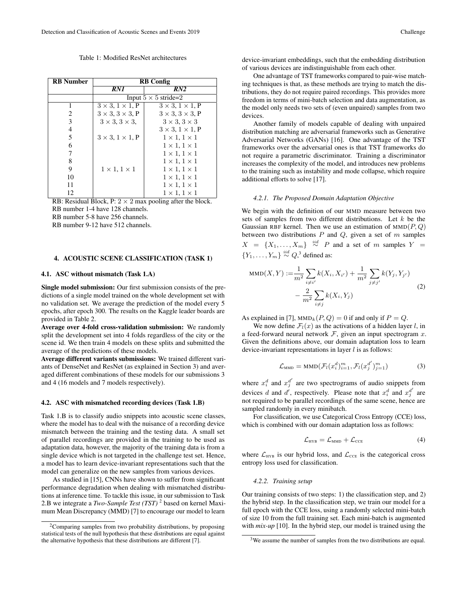Table 1: Modified ResNet architectures

| <b>RB</b> Number | <b>RB</b> Config                |                                 |  |
|------------------|---------------------------------|---------------------------------|--|
|                  | RN1                             | RN2                             |  |
|                  | Input $5 \times 5$ stride=2     |                                 |  |
| 1                | $3 \times 3$ , $1 \times 1$ , P | $3 \times 3$ , $1 \times 1$ , P |  |
| 2                | $3 \times 3$ , $3 \times 3$ , P | $3 \times 3$ , $3 \times 3$ , P |  |
| 3                | $3 \times 3$ , $3 \times 3$ ,   | $3 \times 3$ , $3 \times 3$     |  |
| 4                |                                 | $3 \times 3$ , $1 \times 1$ , P |  |
| 5                | $3 \times 3$ , $1 \times 1$ , P | $1 \times 1, 1 \times 1$        |  |
| 6                |                                 | $1 \times 1, 1 \times 1$        |  |
| 7                |                                 | $1 \times 1, 1 \times 1$        |  |
| 8                |                                 | $1 \times 1, 1 \times 1$        |  |
| 9                | $1 \times 1, 1 \times 1$        | $1 \times 1, 1 \times 1$        |  |
| 10               |                                 | $1 \times 1, 1 \times 1$        |  |
| 11               |                                 | $1 \times 1, 1 \times 1$        |  |
| 12               |                                 | $1 \times 1, 1 \times 1$        |  |

RB: Residual Block, P:  $2 \times 2$  max pooling after the block. RB number 1-4 have 128 channels.

RB number 5-8 have 256 channels.

RB number 9-12 have 512 channels.

# 4. ACOUSTIC SCENE CLASSIFICATION (TASK 1)

# 4.1. ASC without mismatch (Task 1.A)

Single model submission: Our first submission consists of the predictions of a single model trained on the whole development set with no validation set. We average the prediction of the model every 5 epochs, after epoch 300. The results on the Kaggle leader boards are provided in Table 2.

Average over 4-fold cross-validation submission: We randomly split the development set into 4 folds regardless of the city or the scene id. We then train 4 models on these splits and submitted the average of the predictions of these models.

Average different variants submissions: We trained different variants of DenseNet and ResNet (as explained in Section 3) and averaged different combinations of these models for our submissions 3 and 4 (16 models and 7 models respectively).

#### 4.2. ASC with mismatched recording devices (Task 1.B)

Task 1.B is to classify audio snippets into acoustic scene classes, where the model has to deal with the nuisance of a recording device mismatch between the training and the testing data. A small set of parallel recordings are provided in the training to be used as adaptation data, however, the majority of the training data is from a single device which is not targeted in the challenge test set. Hence, a model has to learn device-invariant representations such that the model can generalize on the new samples from various devices.

As studied in [15], CNNs have shown to suffer from significant performance degradation when dealing with mismatched distributions at inference time. To tackle this issue, in our submission to Task 2.B we integrate a *Two-Sample Test (TST)* <sup>2</sup> based on kernel Maximum Mean Discrepancy (MMD) [7] to encourage our model to learn

device-invariant embeddings, such that the embedding distribution of various devices are indistinguishable from each other.

One advantage of TST frameworks compared to pair-wise matching techniques is that, as these methods are trying to match the distributions, they do not require paired recordings. This provides more freedom in terms of mini-batch selection and data augmentation, as the model only needs two sets of (even unpaired) samples from two devices.

Another family of models capable of dealing with unpaired distribution matching are adversarial frameworks such as Generative Adversarial Networks (GANs) [16]. One advantage of the TST frameworks over the adversarial ones is that TST frameworks do not require a parametric discriminator. Training a discriminator increases the complexity of the model, and introduces new problems to the training such as instability and mode collapse, which require additional efforts to solve [17].

#### *4.2.1. The Proposed Domain Adaptation Objective*

We begin with the definition of our MMD measure between two sets of samples from two different distributions. Let  $k$  be the Gaussian RBF kernel. Then we use an estimation of  $MMD(P, Q)$ between two distributions  $P$  and  $Q$ , given a set of  $m$  samples  $X = \{X_1, \ldots, X_m\} \stackrel{iid}{\sim} P$  and a set of m samples  $Y =$  ${Y_1, \ldots, Y_m\} \stackrel{iid}{\sim} Q,^3$  defined as:

MMD(X, Y) := 
$$
\frac{1}{m^2} \sum_{i \neq i'} k(X_i, X_{i'}) + \frac{1}{m^2} \sum_{j \neq j'} k(Y_j, Y_{j'}) - \frac{2}{m^2} \sum_{i \neq j} k(X_i, Y_j)
$$
 (2)

As explained in [7],  $MMD_k(P,Q) = 0$  if and only if  $P = Q$ .

We now define  $\mathcal{F}_l(x)$  as the activations of a hidden layer l, in a feed-forward neural network  $F$ , given an input spectrogram  $x$ . Given the definitions above, our domain adaptation loss to learn device-invariant representations in layer  $l$  is as follows:

$$
\mathcal{L}_{\text{MMD}} = \text{MMD}(\mathcal{F}_l(x_i^d)_{i=1}^m, \mathcal{F}_l(x_j^{d'})_{j=1}^m)
$$
(3)

where  $x_i^d$  and  $x_j^{d'}$  are two spectrograms of audio snippets from devices d and d', respectively. Please note that  $x_i^d$  and  $x_j^{d'}$  are not required to be parallel recordings of the same scene, hence are sampled randomly in every minibatch.

For classification, we use Categorical Cross Entropy (CCE) loss, which is combined with our domain adaptation loss as follows:

$$
\mathcal{L}_{\text{HYB}} = \mathcal{L}_{\text{MMD}} + \mathcal{L}_{\text{CCE}} \tag{4}
$$

where  $\mathcal{L}_{HYB}$  is our hybrid loss, and  $\mathcal{L}_{CCE}$  is the categorical cross entropy loss used for classification.

# *4.2.2. Training setup*

Our training consists of two steps: 1) the classification step, and 2) the hybrid step. In the classification step, we train our model for a full epoch with the CCE loss, using a randomly selected mini-batch of size 10 from the full training set. Each mini-batch is augmented with *mix-up* [10]. In the hybrid step, our model is trained using the

 $2$ Comparing samples from two probability distributions, by proposing statistical tests of the null hypothesis that these distributions are equal against the alternative hypothesis that these distributions are different [7].

<sup>&</sup>lt;sup>3</sup>We assume the number of samples from the two distributions are equal.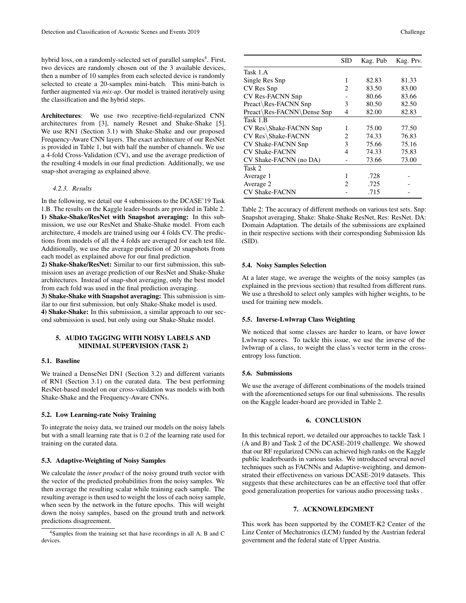hybrid loss, on a randomly-selected set of parallel samples<sup>4</sup>. First, two devices are randomly chosen out of the 3 available devices, then a number of 10 samples from each selected device is randomly selected to create a 20-samples mini-batch. This mini-batch is further augmented via *mix-up*. Our model is trained iteratively using the classification and the hybrid steps.

Architectures: We use two receptive-field-regularized CNN architectures from [3], namely Resnet and Shake-Shake [5]. We use RN1 (Section 3.1) with Shake-Shake and our proposed Frequency-Aware CNN layers. The exact architecture of our ResNet is provided in Table 1, but with half the number of channels. We use a 4-fold Cross-Validation (CV), and use the average prediction of the resulting 4 models in our final prediction. Additionally, we use snap-shot averaging as explained above.

### *4.2.3. Results*

In the following, we detail our 4 submissions to the DCASE'19 Task 1.B. The results on the Kaggle leader-boards are provided in Table 2. 1) Shake-Shake/ResNet with Snapshot averaging: In this submission, we use our ResNet and Shake-Shake model. From each architecture, 4 models are trained using our 4 folds CV. The predictions from models of all the 4 folds are averaged for each test file. Additionally, we use the average prediction of 20 snapshots from each model as explained above for our final prediction.

2) Shake-Shake/ResNet: Similar to our first submission, this submission uses an average prediction of our ResNet and Shake-Shake architectures. Instead of snap-shot averaging, only the best model from each fold was used in the final prediction averaging.

3) Shake-Shake with Snapshot averaging: This submission is similar to our first submission, but only Shake-Shake model is used. 4) Shake-Shake: In this submission, a similar approach to our second submission is used, but only using our Shake-Shake model.

# 5. AUDIO TAGGING WITH NOISY LABELS AND MINIMAL SUPERVISION (TASK 2)

# 5.1. Baseline

We trained a DenseNet DN1 (Section 3.2) and different variants of RN1 (Section 3.1) on the curated data. The best performing ResNet-based model on our cross-validation was models with both Shake-Shake and the Frequency-Aware CNNs.

### 5.2. Low Learning-rate Noisy Training

To integrate the noisy data, we trained our models on the noisy labels but with a small learning rate that is 0.2 of the learning rate used for training on the curated data.

# 5.3. Adaptive-Weighting of Noisy Samples

We calculate the *inner product* of the noisy ground truth vector with the vector of the predicted probabilities from the noisy samples. We then average the resulting scalar while training each sample. The resulting average is then used to weight the loss of each noisy sample, when seen by the network in the future epochs. This will weight down the noisy samples, based on the ground truth and network predictions disagreement.

|                            | SID | Kag. Pub | Kag. Prv. |
|----------------------------|-----|----------|-----------|
| Task 1.A                   |     |          |           |
| Single Res Snp             | 1   | 82.83    | 81.33     |
| CV Res Snp                 | 2   | 83.50    | 83.00     |
| <b>CV Res-FACNN Snp</b>    |     | 80.66    | 83.66     |
| Preact\Res-FACNN Snp       | 3   | 80.50    | 82.50     |
| Preact\Res-FACNN\Dense Snp | 4   | 82.00    | 82.83     |
| Task 1.B                   |     |          |           |
| CV Res\Shake-FACNN Snp     | 1   | 75.00    | 77.50     |
| CV Res\Shake-FACNN         | 2.  | 74.33    | 76.83     |
| CV Shake-FACNN Snp         | 3   | 75.66    | 75.16     |
| <b>CV Shake-FACNN</b>      | 4   | 74.33    | 75.83     |
| CV Shake-FACNN (no DA)     |     | 73.66    | 73.00     |
| Task 2                     |     |          |           |
| Average 1                  | 1   | .728     |           |
| Average 2                  | 2   | .725     |           |
| <b>CV Shake-FACNN</b>      |     | .715     |           |

Table 2: The accuracy of different methods on various test sets. Snp: Snapshot averaging, Shake: Shake-Shake ResNet, Res: ResNet. DA: Domain Adaptation. The details of the submissions are explained in their respective sections with their corresponding Submission Ids (SID).

#### 5.4. Noisy Samples Selection

At a later stage, we average the weights of the noisy samples (as explained in the previous section) that resulted from different runs. We use a threshold to select only samples with higher weights, to be used for training new models.

### 5.5. Inverse-Lwlwrap Class Weighting

We noticed that some classes are harder to learn, or have lower Lwlwrap scores. To tackle this issue, we use the inverse of the lwlwrap of a class, to weight the class's vector term in the crossentropy loss function.

#### 5.6. Submissions

We use the average of different combinations of the models trained with the aforementioned setups for our final submissions. The results on the Kaggle leader-board are provided in Table 2.

# 6. CONCLUSION

In this technical report, we detailed our approaches to tackle Task 1 (A and B) and Task 2 of the DCASE-2019 challenge. We showed that our RF regularized CNNs can achieved high ranks on the Kaggle public leaderboards in various tasks. We introduced several novel techniques such as FACNNs and Adaptive-weighting, and demonstrated their effectiveness on various DCASE-2019 datasets. This suggests that these architectures can be an effective tool that offer good generalization properties for various audio processing tasks .

### 7. ACKNOWLEDGMENT

This work has been supported by the COMET-K2 Center of the Linz Center of Mechatronics (LCM) funded by the Austrian federal government and the federal state of Upper Austria.

<sup>4</sup>Samples from the training set that have recordings in all A, B and C devices.